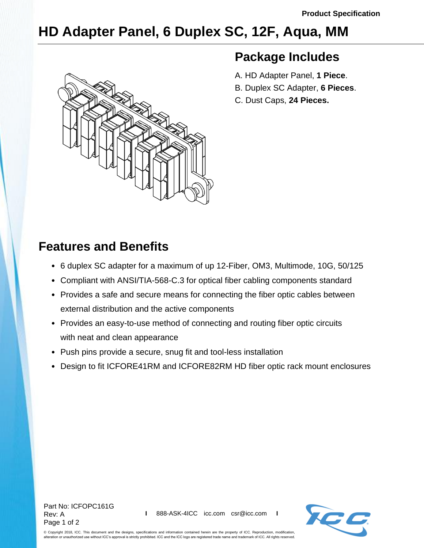## **HD Adapter Panel, 6 Duplex SC, 12F, Aqua, MM**



## **Package Includes**

- A. HD Adapter Panel, **1 Piece**.
- B. Duplex SC Adapter, **6 Pieces**.
- C. Dust Caps, **24 Pieces.**

## **Features and Benefits**

- 6 duplex SC adapter for a maximum of up 12-Fiber, OM3, Multimode, 10G, 50/125
- Compliant with ANSI/TIA-568-C.3 for optical fiber cabling components standard
- Provides a safe and secure means for connecting the fiber optic cables between external distribution and the active components
- Provides an easy-to-use method of connecting and routing fiber optic circuits with neat and clean appearance
- Push pins provide a secure, snug fit and tool-less installation
- Design to fit ICFORE41RM and ICFORE82RM HD fiber optic rack mount enclosures



© Copyright 2018, ICC. This document and the designs, specifications and information contained herein are the property of ICC. Reproduction, modification, alteration or unauthorized use without ICC's approval is strictly prohibited. ICC and the ICC logo are registered trade name and trademark of ICC. All rights reserved.